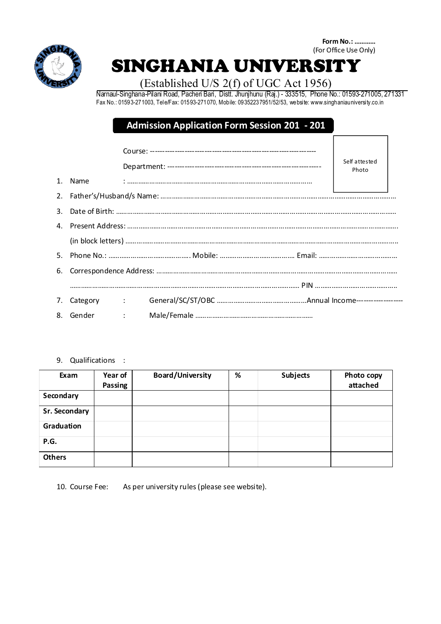

**Form No.: …………** (For Office Use Only)

## SINGHANIA UNIVERSITY

## (Established U/S 2(f) of UGC Act 1956)

Narnaul-Singhana-Pilani Road, Pacheri Bari, Distt. Jhunjhunu (Raj.) - 333515, Phone No.: 01593-271005, 271331 Fax No.: 01593-271003, Tele/Fax: 01593-271070, Mobile: 09352237951/52/53, website: www.singhaniauniversity.co.in

## **Admission Application Form Session 201 - 201**

|         |          |  |  | Self attested<br>Photo |  |  |  |  |  |
|---------|----------|--|--|------------------------|--|--|--|--|--|
| $1_{-}$ | Name     |  |  |                        |  |  |  |  |  |
|         |          |  |  |                        |  |  |  |  |  |
| 3.      |          |  |  |                        |  |  |  |  |  |
|         |          |  |  |                        |  |  |  |  |  |
|         |          |  |  |                        |  |  |  |  |  |
|         |          |  |  |                        |  |  |  |  |  |
| 6.      |          |  |  |                        |  |  |  |  |  |
|         |          |  |  |                        |  |  |  |  |  |
|         |          |  |  |                        |  |  |  |  |  |
| 8.      | Gender : |  |  |                        |  |  |  |  |  |

9. Qualifications :

| Exam          | Year of<br>Passing | <b>Board/University</b> | % | <b>Subjects</b> | Photo copy<br>attached |
|---------------|--------------------|-------------------------|---|-----------------|------------------------|
| Secondary     |                    |                         |   |                 |                        |
| Sr. Secondary |                    |                         |   |                 |                        |
| Graduation    |                    |                         |   |                 |                        |
| P.G.          |                    |                         |   |                 |                        |
| <b>Others</b> |                    |                         |   |                 |                        |

10. Course Fee: As per university rules(please see website).